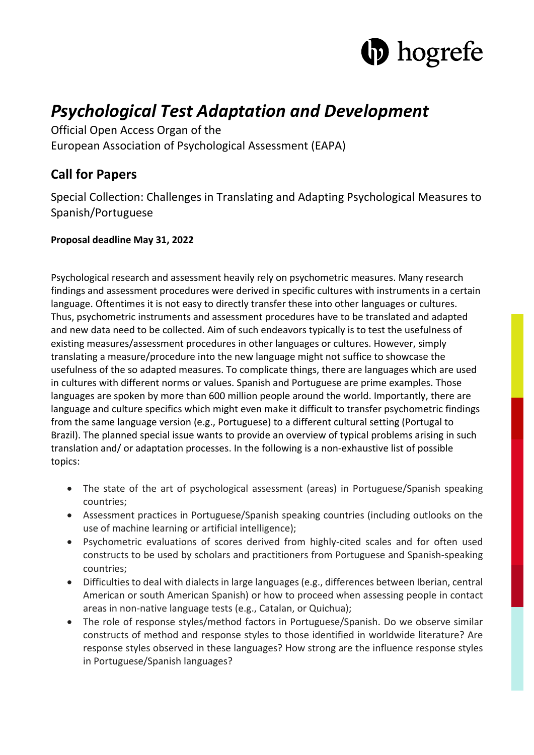

# *Psychological Test Adaptation and Development*

Official Open Access Organ of the European Association of Psychological Assessment (EAPA)

# **Call for Papers**

Special Collection: Challenges in Translating and Adapting Psychological Measures to Spanish/Portuguese

## **Proposal deadline May 31, 2022**

Psychological research and assessment heavily rely on psychometric measures. Many research findings and assessment procedures were derived in specific cultures with instruments in a certain language. Oftentimes it is not easy to directly transfer these into other languages or cultures. Thus, psychometric instruments and assessment procedures have to be translated and adapted and new data need to be collected. Aim of such endeavors typically is to test the usefulness of existing measures/assessment procedures in other languages or cultures. However, simply translating a measure/procedure into the new language might not suffice to showcase the usefulness of the so adapted measures. To complicate things, there are languages which are used in cultures with different norms or values. Spanish and Portuguese are prime examples. Those languages are spoken by more than 600 million people around the world. Importantly, there are language and culture specifics which might even make it difficult to transfer psychometric findings from the same language version (e.g., Portuguese) to a different cultural setting (Portugal to Brazil). The planned special issue wants to provide an overview of typical problems arising in such translation and/ or adaptation processes. In the following is a non-exhaustive list of possible topics:

- The state of the art of psychological assessment (areas) in Portuguese/Spanish speaking countries;
- Assessment practices in Portuguese/Spanish speaking countries (including outlooks on the use of machine learning or artificial intelligence);
- Psychometric evaluations of scores derived from highly-cited scales and for often used constructs to be used by scholars and practitioners from Portuguese and Spanish-speaking countries;
- Difficulties to deal with dialects in large languages (e.g., differences between Iberian, central American or south American Spanish) or how to proceed when assessing people in contact areas in non-native language tests (e.g., Catalan, or Quichua);
- The role of response styles/method factors in Portuguese/Spanish. Do we observe similar constructs of method and response styles to those identified in worldwide literature? Are response styles observed in these languages? How strong are the influence response styles in Portuguese/Spanish languages?